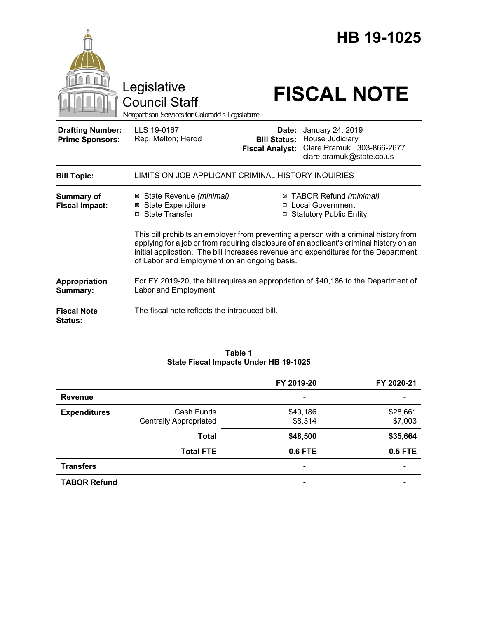|                                                   |                                                                                                                                                                                                                                                                                                                          |                                                        | HB 19-1025                                                                                     |  |
|---------------------------------------------------|--------------------------------------------------------------------------------------------------------------------------------------------------------------------------------------------------------------------------------------------------------------------------------------------------------------------------|--------------------------------------------------------|------------------------------------------------------------------------------------------------|--|
|                                                   | Legislative<br><b>Council Staff</b><br>Nonpartisan Services for Colorado's Legislature                                                                                                                                                                                                                                   |                                                        | <b>FISCAL NOTE</b>                                                                             |  |
| <b>Drafting Number:</b><br><b>Prime Sponsors:</b> | LLS 19-0167<br>Rep. Melton; Herod                                                                                                                                                                                                                                                                                        | Date:<br><b>Bill Status:</b><br><b>Fiscal Analyst:</b> | January 24, 2019<br>House Judiciary<br>Clare Pramuk   303-866-2677<br>clare.pramuk@state.co.us |  |
| <b>Bill Topic:</b>                                | LIMITS ON JOB APPLICANT CRIMINAL HISTORY INQUIRIES                                                                                                                                                                                                                                                                       |                                                        |                                                                                                |  |
| <b>Summary of</b><br><b>Fiscal Impact:</b>        | ⊠ State Revenue (minimal)<br><b>⊠</b> State Expenditure<br>□ State Transfer                                                                                                                                                                                                                                              |                                                        | ⊠ TABOR Refund (minimal)<br>□ Local Government<br>□ Statutory Public Entity                    |  |
|                                                   | This bill prohibits an employer from preventing a person with a criminal history from<br>applying for a job or from requiring disclosure of an applicant's criminal history on an<br>initial application. The bill increases revenue and expenditures for the Department<br>of Labor and Employment on an ongoing basis. |                                                        |                                                                                                |  |
| Appropriation<br>Summary:                         | For FY 2019-20, the bill requires an appropriation of \$40,186 to the Department of<br>Labor and Employment.                                                                                                                                                                                                             |                                                        |                                                                                                |  |
| <b>Fiscal Note</b><br><b>Status:</b>              | The fiscal note reflects the introduced bill.                                                                                                                                                                                                                                                                            |                                                        |                                                                                                |  |

#### **Table 1 State Fiscal Impacts Under HB 19-1025**

|                     |                               | FY 2019-20               | FY 2020-21     |
|---------------------|-------------------------------|--------------------------|----------------|
| <b>Revenue</b>      |                               |                          |                |
| <b>Expenditures</b> | Cash Funds                    | \$40,186                 | \$28,661       |
|                     | <b>Centrally Appropriated</b> | \$8,314                  | \$7,003        |
|                     | <b>Total</b>                  | \$48,500                 | \$35,664       |
|                     | <b>Total FTE</b>              | 0.6 FTE                  | <b>0.5 FTE</b> |
| <b>Transfers</b>    |                               | $\overline{\phantom{0}}$ |                |
| <b>TABOR Refund</b> |                               |                          |                |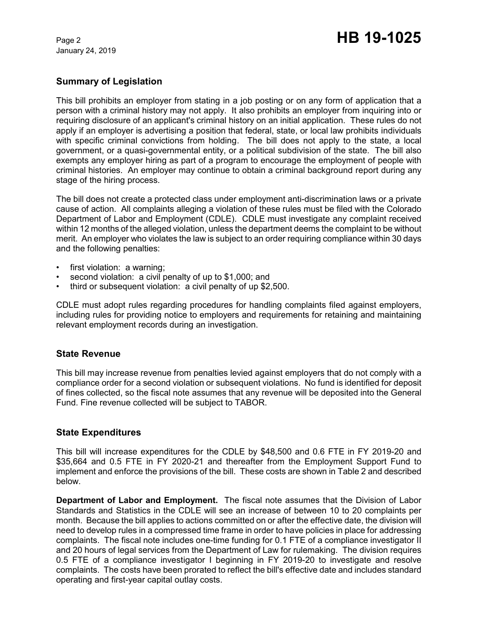January 24, 2019

# Page 2 **HB 19-1025**

## **Summary of Legislation**

This bill prohibits an employer from stating in a job posting or on any form of application that a person with a criminal history may not apply. It also prohibits an employer from inquiring into or requiring disclosure of an applicant's criminal history on an initial application. These rules do not apply if an employer is advertising a position that federal, state, or local law prohibits individuals with specific criminal convictions from holding. The bill does not apply to the state, a local government, or a quasi-governmental entity, or a political subdivision of the state. The bill also exempts any employer hiring as part of a program to encourage the employment of people with criminal histories. An employer may continue to obtain a criminal background report during any stage of the hiring process.

The bill does not create a protected class under employment anti-discrimination laws or a private cause of action. All complaints alleging a violation of these rules must be filed with the Colorado Department of Labor and Employment (CDLE). CDLE must investigate any complaint received within 12 months of the alleged violation, unless the department deems the complaint to be without merit. An employer who violates the law is subject to an order requiring compliance within 30 days and the following penalties:

- first violation: a warning:
- second violation: a civil penalty of up to \$1,000; and
- third or subsequent violation: a civil penalty of up \$2,500.

CDLE must adopt rules regarding procedures for handling complaints filed against employers, including rules for providing notice to employers and requirements for retaining and maintaining relevant employment records during an investigation.

#### **State Revenue**

This bill may increase revenue from penalties levied against employers that do not comply with a compliance order for a second violation or subsequent violations. No fund is identified for deposit of fines collected, so the fiscal note assumes that any revenue will be deposited into the General Fund. Fine revenue collected will be subject to TABOR.

#### **State Expenditures**

This bill will increase expenditures for the CDLE by \$48,500 and 0.6 FTE in FY 2019-20 and \$35,664 and 0.5 FTE in FY 2020-21 and thereafter from the Employment Support Fund to implement and enforce the provisions of the bill. These costs are shown in Table 2 and described below.

**Department of Labor and Employment.** The fiscal note assumes that the Division of Labor Standards and Statistics in the CDLE will see an increase of between 10 to 20 complaints per month. Because the bill applies to actions committed on or after the effective date, the division will need to develop rules in a compressed time frame in order to have policies in place for addressing complaints. The fiscal note includes one-time funding for 0.1 FTE of a compliance investigator II and 20 hours of legal services from the Department of Law for rulemaking. The division requires 0.5 FTE of a compliance investigator I beginning in FY 2019-20 to investigate and resolve complaints. The costs have been prorated to reflect the bill's effective date and includes standard operating and first-year capital outlay costs.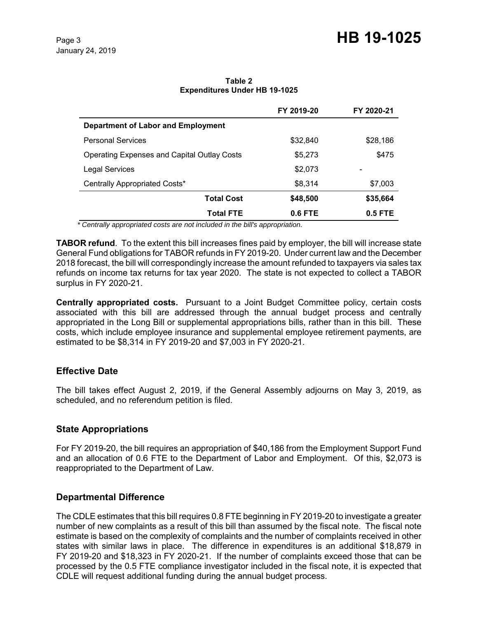**Table 2 Expenditures Under HB 19-1025**

|                                                    | FY 2019-20 | FY 2020-21 |
|----------------------------------------------------|------------|------------|
| <b>Department of Labor and Employment</b>          |            |            |
| <b>Personal Services</b>                           | \$32,840   | \$28,186   |
| <b>Operating Expenses and Capital Outlay Costs</b> | \$5,273    | \$475      |
| Legal Services                                     | \$2,073    |            |
| Centrally Appropriated Costs*                      | \$8,314    | \$7,003    |
| <b>Total Cost</b>                                  | \$48,500   | \$35,664   |
| <b>Total FTE</b>                                   | 0.6 FTE    | 0.5 FTE    |

 *\* Centrally appropriated costs are not included in the bill's appropriation.*

**TABOR refund**. To the extent this bill increases fines paid by employer, the bill will increase state General Fund obligations for TABOR refunds in FY 2019-20. Under current law and the December 2018 forecast, the bill will correspondingly increase the amount refunded to taxpayers via sales tax refunds on income tax returns for tax year 2020. The state is not expected to collect a TABOR surplus in FY 2020-21.

**Centrally appropriated costs.** Pursuant to a Joint Budget Committee policy, certain costs associated with this bill are addressed through the annual budget process and centrally appropriated in the Long Bill or supplemental appropriations bills, rather than in this bill. These costs, which include employee insurance and supplemental employee retirement payments, are estimated to be \$8,314 in FY 2019-20 and \$7,003 in FY 2020-21.

#### **Effective Date**

The bill takes effect August 2, 2019, if the General Assembly adjourns on May 3, 2019, as scheduled, and no referendum petition is filed.

#### **State Appropriations**

For FY 2019-20, the bill requires an appropriation of \$40,186 from the Employment Support Fund and an allocation of 0.6 FTE to the Department of Labor and Employment. Of this, \$2,073 is reappropriated to the Department of Law.

#### **Departmental Difference**

The CDLE estimates that this bill requires 0.8 FTE beginning in FY 2019-20 to investigate a greater number of new complaints as a result of this bill than assumed by the fiscal note. The fiscal note estimate is based on the complexity of complaints and the number of complaints received in other states with similar laws in place. The difference in expenditures is an additional \$18,879 in FY 2019-20 and \$18,323 in FY 2020-21. If the number of complaints exceed those that can be processed by the 0.5 FTE compliance investigator included in the fiscal note, it is expected that CDLE will request additional funding during the annual budget process.